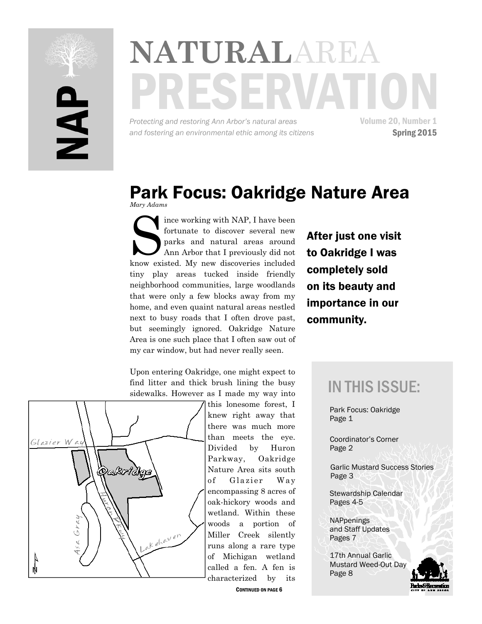

# **NATURAL** AREA PRESERVATION

*Protecting and restoring Ann Arbor's natural areas and fostering an environmental ethic among its citizens*  Volume 20, Number 1 Spring 2015

## Park Focus: Oakridge Nature Area *Mary Adams*

S ince working with NAP, I have been<br>fortunate to discover several new<br>parks and natural areas around<br>Ann Arbor that I previously did not<br>know ovisted My now discoveries included fortunate to discover several new parks and natural areas around Ann Arbor that I previously did not know existed. My new discoveries included tiny play areas tucked inside friendly neighborhood communities, large woodlands that were only a few blocks away from my home, and even quaint natural areas nestled next to busy roads that I often drove past, but seemingly ignored. Oakridge Nature Area is one such place that I often saw out of my car window, but had never really seen.

After just one visit to Oakridge I was completely sold on its beauty and importance in our community.

Upon entering Oakridge, one might expect to find litter and thick brush lining the busy sidewalks. However as I made my way into



this lonesome forest, I knew right away that there was much more than meets the eye. Divided by Huron Parkway, Oakridge Nature Area sits south of Glazier Way encompassing 8 acres of oak-hickory woods and wetland. Within these woods a portion of Miller Creek silently runs along a rare type of Michigan wetland called a fen. A fen is characterized by its

# IN THIS ISSUE:

Park Focus: Oakridge Page 1

Coordinator's Corner Page 2

Garlic Mustard Success Stories Page 3

Stewardship Calendar Pages 4-5

NAPpenings and Staff Updates Pages 7

17th Annual Garlic Mustard Weed-Out Day Page 8



CONTINUED ON PAGE 6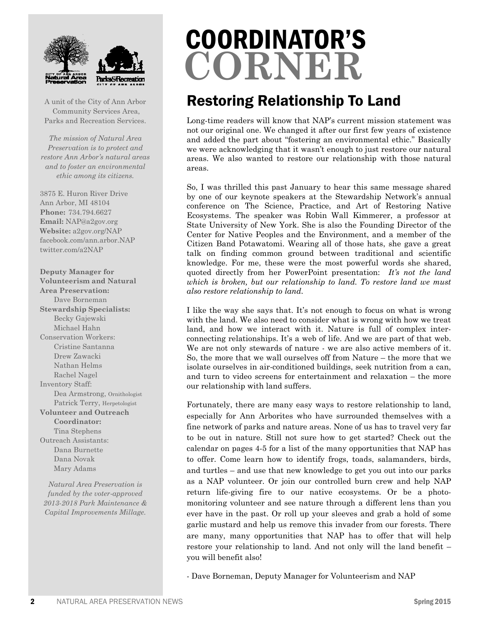

A unit of the City of Ann Arbor Community Services Area, Parks and Recreation Services.

*The mission of Natural Area Preservation is to protect and restore Ann Arbor's natural areas and to foster an environmental ethic among its citizens.* 

3875 E. Huron River Drive Ann Arbor, MI 48104 **Phone:** 734.794.6627 **Email:** NAP@a2gov.org **Website:** a2gov.org/NAP facebook.com/ann.arbor.NAP twitter.com/a2NAP

**Deputy Manager for Volunteerism and Natural Area Preservation:**  Dave Borneman **Stewardship Specialists:**  Becky Gajewski Michael Hahn Conservation Workers: Cristine Santanna Drew Zawacki Nathan Helms Rachel Nagel Inventory Staff: Dea Armstrong, Ornithologist Patrick Terry, Herpetologist **Volunteer and Outreach Coordinator:**  Tina Stephens Outreach Assistants: Dana Burnette Dana Novak Mary Adams

*Natural Area Preservation is funded by the voter-approved 2013-2018 Park Maintenance & Capital Improvements Millage.* 

# **CORNER**  COORDINATOR'S

# Restoring Relationship To Land

Long-time readers will know that NAP's current mission statement was not our original one. We changed it after our first few years of existence and added the part about "fostering an environmental ethic." Basically we were acknowledging that it wasn't enough to just restore our natural areas. We also wanted to restore our relationship with those natural areas.

So, I was thrilled this past January to hear this same message shared by one of our keynote speakers at the Stewardship Network's annual conference on The Science, Practice, and Art of Restoring Native Ecosystems. The speaker was Robin Wall Kimmerer, a professor at State University of New York. She is also the Founding Director of the Center for Native Peoples and the Environment, and a member of the Citizen Band Potawatomi. Wearing all of those hats, she gave a great talk on finding common ground between traditional and scientific knowledge. For me, these were the most powerful words she shared, quoted directly from her PowerPoint presentation: *It's not the land which is broken, but our relationship to land. To restore land we must also restore relationship to land.* 

I like the way she says that. It's not enough to focus on what is wrong with the land. We also need to consider what is wrong with how we treat land, and how we interact with it. Nature is full of complex interconnecting relationships. It's a web of life. And we are part of that web. We are not only stewards of nature - we are also active members of it. So, the more that we wall ourselves off from Nature – the more that we isolate ourselves in air-conditioned buildings, seek nutrition from a can, and turn to video screens for entertainment and relaxation – the more our relationship with land suffers.

Fortunately, there are many easy ways to restore relationship to land, especially for Ann Arborites who have surrounded themselves with a fine network of parks and nature areas. None of us has to travel very far to be out in nature. Still not sure how to get started? Check out the calendar on pages 4-5 for a list of the many opportunities that NAP has to offer. Come learn how to identify frogs, toads, salamanders, birds, and turtles – and use that new knowledge to get you out into our parks as a NAP volunteer. Or join our controlled burn crew and help NAP return life-giving fire to our native ecosystems. Or be a photomonitoring volunteer and see nature through a different lens than you ever have in the past. Or roll up your sleeves and grab a hold of some garlic mustard and help us remove this invader from our forests. There are many, many opportunities that NAP has to offer that will help restore your relationship to land. And not only will the land benefit – you will benefit also!

<sup>-</sup> Dave Borneman, Deputy Manager for Volunteerism and NAP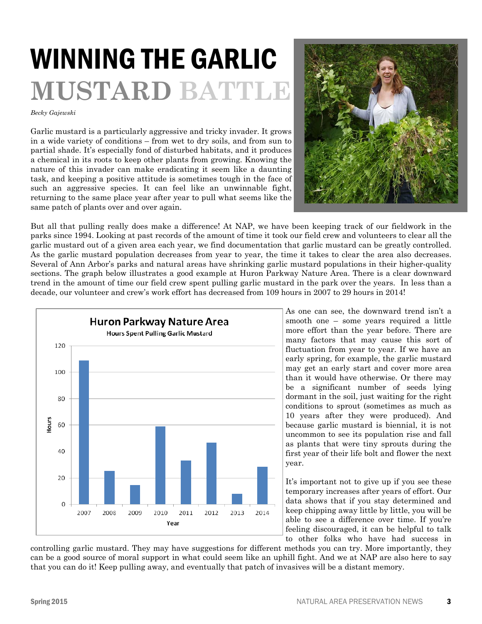# WINNING THE GARLIC **MUSTARD BATTLE**

*Becky Gajewski* 

Garlic mustard is a particularly aggressive and tricky invader. It grows in a wide variety of conditions – from wet to dry soils, and from sun to partial shade. It's especially fond of disturbed habitats, and it produces a chemical in its roots to keep other plants from growing. Knowing the nature of this invader can make eradicating it seem like a daunting task, and keeping a positive attitude is sometimes tough in the face of such an aggressive species. It can feel like an unwinnable fight, returning to the same place year after year to pull what seems like the same patch of plants over and over again.



But all that pulling really does make a difference! At NAP, we have been keeping track of our fieldwork in the parks since 1994. Looking at past records of the amount of time it took our field crew and volunteers to clear all the garlic mustard out of a given area each year, we find documentation that garlic mustard can be greatly controlled. As the garlic mustard population decreases from year to year, the time it takes to clear the area also decreases. Several of Ann Arbor's parks and natural areas have shrinking garlic mustard populations in their higher-quality sections. The graph below illustrates a good example at Huron Parkway Nature Area. There is a clear downward trend in the amount of time our field crew spent pulling garlic mustard in the park over the years. In less than a decade, our volunteer and crew's work effort has decreased from 109 hours in 2007 to 29 hours in 2014!



As one can see, the downward trend isn't a smooth one – some years required a little more effort than the year before. There are many factors that may cause this sort of fluctuation from year to year. If we have an early spring, for example, the garlic mustard may get an early start and cover more area than it would have otherwise. Or there may be a significant number of seeds lying dormant in the soil, just waiting for the right conditions to sprout (sometimes as much as 10 years after they were produced). And because garlic mustard is biennial, it is not uncommon to see its population rise and fall as plants that were tiny sprouts during the first year of their life bolt and flower the next year.

It's important not to give up if you see these temporary increases after years of effort. Our data shows that if you stay determined and keep chipping away little by little, you will be able to see a difference over time. If you're feeling discouraged, it can be helpful to talk to other folks who have had success in

controlling garlic mustard. They may have suggestions for different methods you can try. More importantly, they can be a good source of moral support in what could seem like an uphill fight. And we at NAP are also here to say that you can do it! Keep pulling away, and eventually that patch of invasives will be a distant memory.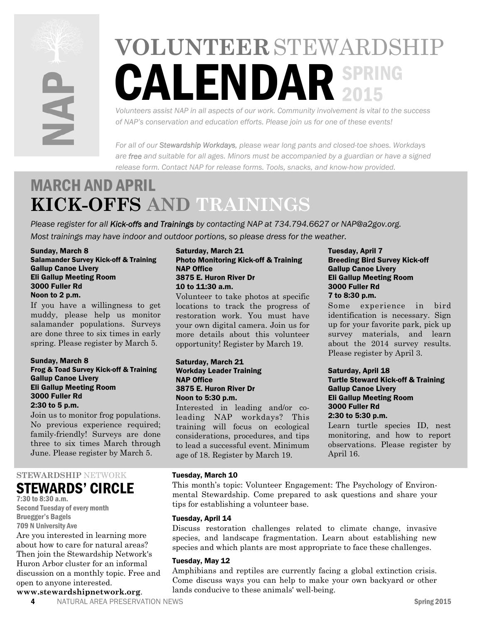

# **VOLUNTEER** STEWARDSHIP CALENDAR SPRING 2015

*Volunteers assist NAP in all aspects of our work. Community involvement is vital to the success of NAP's conservation and education efforts. Please join us for one of these events!* 

*For all of our Stewardship Workdays, please wear long pants and closed-toe shoes. Workdays are free and suitable for all ages. Minors must be accompanied by a guardian or have a signed release form. Contact NAP for release forms. Tools, snacks, and know-how provided.* 

# **KICK-OFFS AND TRAININGS** MARCH AND APRIL

*Please register for all Kick-offs and Trainings by contacting NAP at 734.794.6627 or NAP@a2gov.org. Most trainings may have indoor and outdoor portions, so please dress for the weather.*

#### Sunday, March 8 Salamander Survey Kick-off & Training Gallup Canoe Livery Eli Gallup Meeting Room 3000 Fuller Rd Noon to 2 p.m.

If you have a willingness to get muddy, please help us monitor salamander populations. Surveys are done three to six times in early spring. Please register by March 5.

#### Sunday, March 8 Frog & Toad Survey Kick-off & Training Gallup Canoe Livery Eli Gallup Meeting Room 3000 Fuller Rd 2:30 to 5 p.m.

Join us to monitor frog populations. No previous experience required; family-friendly! Surveys are done three to six times March through June. Please register by March 5.

## **STEWARDSHIP** NETWORK

## STEWARDS' CIRCLE

7:30 to 8:30 a.m. Second Tuesday of every month Bruegger's Bagels 709 N University Ave

Are you interested in learning more about how to care for natural areas? Then join the Stewardship Network's Huron Arbor cluster for an informal discussion on a monthly topic. Free and open to anyone interested.

**www.stewardshipnetwork.org**.

4 MATURAL AREA PRESERVATION NEWS **And the Contract of the Contract of Spring 2015** 

#### Saturday, March 21 Photo Monitoring Kick-off & Training NAP Office 3875 E. Huron River Dr 10 to 11:30 a.m.

Volunteer to take photos at specific locations to track the progress of restoration work. You must have your own digital camera. Join us for more details about this volunteer opportunity! Register by March 19.

#### Saturday, March 21 Workday Leader Training NAP Office 3875 E. Huron River Dr Noon to 5:30 p.m.

Interested in leading and/or coleading NAP workdays? This training will focus on ecological considerations, procedures, and tips to lead a successful event. Minimum age of 18. Register by March 19.

Tuesday, April 7 Breeding Bird Survey Kick-off Gallup Canoe Livery Eli Gallup Meeting Room 3000 Fuller Rd 7 to 8:30 p.m.

Some experience in bird identification is necessary. Sign up for your favorite park, pick up survey materials, and learn about the 2014 survey results. Please register by April 3.

Saturday, April 18 Turtle Steward Kick-off & Training Gallup Canoe Livery Eli Gallup Meeting Room 3000 Fuller Rd 2:30 to 5:30 p.m.

Learn turtle species ID, nest monitoring, and how to report observations. Please register by April 16.

#### Tuesday, March 10

This month's topic: Volunteer Engagement: The Psychology of Environmental Stewardship. Come prepared to ask questions and share your tips for establishing a volunteer base.

#### Tuesday, April 14

Discuss restoration challenges related to climate change, invasive species, and landscape fragmentation. Learn about establishing new species and which plants are most appropriate to face these challenges.

#### Tuesday, May 12

Amphibians and reptiles are currently facing a global extinction crisis. Come discuss ways you can help to make your own backyard or other lands conducive to these animals' well-being.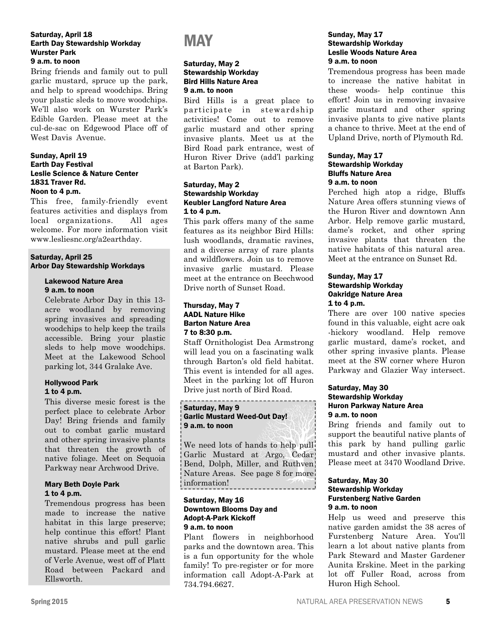#### Saturday, April 18 Earth Day Stewardship Workday Wurster Park 9 a.m. to noon

Bring friends and family out to pull garlic mustard, spruce up the park, and help to spread woodchips. Bring your plastic sleds to move woodchips. We'll also work on Wurster Park's Edible Garden. Please meet at the cul-de-sac on Edgewood Place off of West Davis Avenue.

#### Sunday, April 19 Earth Day Festival Leslie Science & Nature Center 1831 Traver Rd. Noon to 4 p.m.

This free, family-friendly event features activities and displays from local organizations. All ages welcome. For more information visit www.lesliesnc.org/a2earthday.

#### Saturday, April 25 Arbor Day Stewardship Workdays

#### Lakewood Nature Area 9 a.m. to noon

Celebrate Arbor Day in this 13 acre woodland by removing spring invasives and spreading woodchips to help keep the trails accessible. Bring your plastic sleds to help move woodchips. Meet at the Lakewood School parking lot, 344 Gralake Ave.

#### Hollywood Park 1 to 4 p.m.

This diverse mesic forest is the perfect place to celebrate Arbor Day! Bring friends and family out to combat garlic mustard and other spring invasive plants that threaten the growth of native foliage. Meet on Sequoia Parkway near Archwood Drive.

#### Mary Beth Doyle Park 1 to 4 p.m.

Tremendous progress has been made to increase the native habitat in this large preserve; help continue this effort! Plant native shrubs and pull garlic mustard. Please meet at the end of Verle Avenue, west off of Platt Road between Packard and Ellsworth.

## MAY

#### Saturday, May 2 Stewardship Workday Bird Hills Nature Area 9 a.m. to noon

Bird Hills is a great place to participate in stewardship activities! Come out to remove garlic mustard and other spring invasive plants. Meet us at the Bird Road park entrance, west of Huron River Drive (add'l parking at Barton Park).

#### Saturday, May 2 Stewardship Workday Keubler Langford Nature Area 1 to 4 p.m.

This park offers many of the same features as its neighbor Bird Hills: lush woodlands, dramatic ravines, and a diverse array of rare plants and wildflowers. Join us to remove invasive garlic mustard. Please meet at the entrance on Beechwood Drive north of Sunset Road.

#### Thursday, May 7 AADL Nature Hike Barton Nature Area 7 to 8:30 p.m.

Staff Ornithologist Dea Armstrong will lead you on a fascinating walk through Barton's old field habitat. This event is intended for all ages. Meet in the parking lot off Huron Drive just north of Bird Road.

#### Saturday, May 9 Garlic Mustard Weed-Out Day! 9 a.m. to noon

We need lots of hands to help pull Garlic Mustard at Argo, Cedar Bend, Dolph, Miller, and Ruthven Nature Areas. See page 8 for more information!

#### Saturday, May 16 Downtown Blooms Day and Adopt-A-Park Kickoff 9 a.m. to noon

Plant flowers in neighborhood parks and the downtown area. This is a fun opportunity for the whole family! To pre-register or for more information call Adopt-A-Park at 734.794.6627.

#### Sunday, May 17 Stewardship Workday Leslie Woods Nature Area 9 a.m. to noon

Tremendous progress has been made to increase the native habitat in these woods- help continue this effort! Join us in removing invasive garlic mustard and other spring invasive plants to give native plants a chance to thrive. Meet at the end of Upland Drive, north of Plymouth Rd.

#### Sunday, May 17 Stewardship Workday Bluffs Nature Area 9 a.m. to noon

Perched high atop a ridge, Bluffs Nature Area offers stunning views of the Huron River and downtown Ann Arbor. Help remove garlic mustard, dame's rocket, and other spring invasive plants that threaten the native habitats of this natural area. Meet at the entrance on Sunset Rd.

#### Sunday, May 17 Stewardship Workday Oakridge Nature Area 1 to 4 p.m.

There are over 100 native species found in this valuable, eight acre oak -hickory woodland. Help remove garlic mustard, dame's rocket, and other spring invasive plants. Please meet at the SW corner where Huron Parkway and Glazier Way intersect.

#### Saturday, May 30 Stewardship Workday Huron Parkway Nature Area 9 a.m. to noon

Bring friends and family out to support the beautiful native plants of this park by hand pulling garlic mustard and other invasive plants. Please meet at 3470 Woodland Drive.

#### Saturday, May 30 Stewardship Workday Furstenberg Native Garden 9 a.m. to noon

Help us weed and preserve this native garden amidst the 38 acres of Furstenberg Nature Area. You'll learn a lot about native plants from Park Steward and Master Gardener Aunita Erskine. Meet in the parking lot off Fuller Road, across from Huron High School.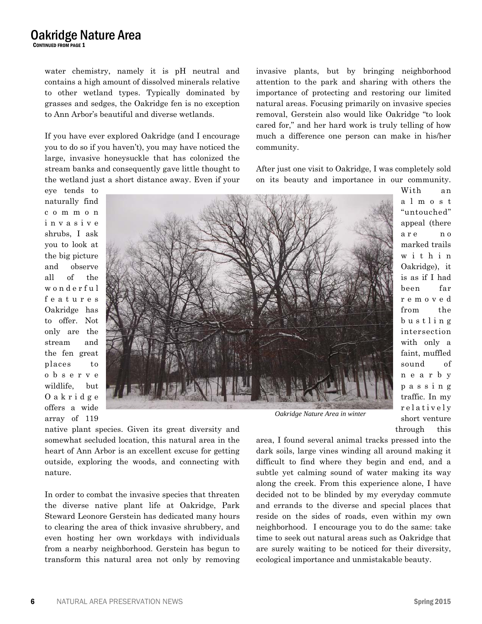CONTINUED FROM PAGE 1

Oakridge Nature Area

If you have ever explored Oakridge (and I encourage you to do so if you haven't), you may have noticed the large, invasive honeysuckle that has colonized the stream banks and consequently gave little thought to the wetland just a short distance away. Even if your

water chemistry, namely it is pH neutral and contains a high amount of dissolved minerals relative to other wetland types. Typically dominated by grasses and sedges, the Oakridge fen is no exception

invasive plants, but by bringing neighborhood attention to the park and sharing with others the importance of protecting and restoring our limited natural areas. Focusing primarily on invasive species removal, Gerstein also would like Oakridge "to look cared for," and her hard work is truly telling of how much a difference one person can make in his/her community.

After just one visit to Oakridge, I was completely sold on its beauty and importance in our community.

eye tends to naturally find c o m m o n i n v a s i v e shrubs, I ask you to look at the big picture and observe all of the w o n d e r f u l f e a t u r e s Oakridge has to offer. Not only are the stream and the fen great places to o b s e r v e wildlife, but O a k r i d g e offers a wide array of 119



With an a l m o s t "untouched" appeal (there are no marked trails w i t h i n Oakridge), it is as if I had been far r e m o v e d from the b u s t l i n g intersection with only a faint, muffled sound of n e a r b y p a s s i n g traffic. In my relatively short venture through this

*Oakridge Nature Area in winter* 

native plant species. Given its great diversity and somewhat secluded location, this natural area in the heart of Ann Arbor is an excellent excuse for getting outside, exploring the woods, and connecting with nature.

In order to combat the invasive species that threaten the diverse native plant life at Oakridge, Park Steward Leonore Gerstein has dedicated many hours to clearing the area of thick invasive shrubbery, and even hosting her own workdays with individuals from a nearby neighborhood. Gerstein has begun to transform this natural area not only by removing area, I found several animal tracks pressed into the dark soils, large vines winding all around making it difficult to find where they begin and end, and a subtle yet calming sound of water making its way along the creek. From this experience alone, I have decided not to be blinded by my everyday commute and errands to the diverse and special places that reside on the sides of roads, even within my own neighborhood. I encourage you to do the same: take time to seek out natural areas such as Oakridge that are surely waiting to be noticed for their diversity, ecological importance and unmistakable beauty.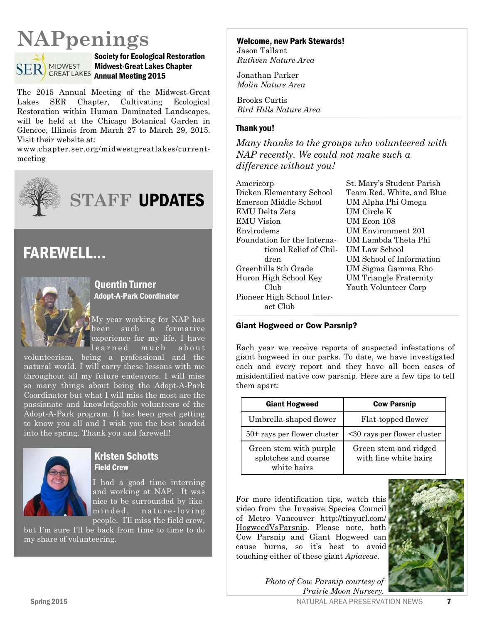# **NAPpenings**



## Society for Ecological Restoration Midwest-Great Lakes Chapter GREAT LAKES Annual Meeting 2015

The 2015 Annual Meeting of the Midwest-Great Lakes SER Chapter, Cultivating Ecological Restoration within Human Dominated Landscapes, will be held at the Chicago Botanical Garden in Glencoe, Illinois from March 27 to March 29, 2015. Visit their website at:

www.chapter.ser.org/midwestgreatlakes/currentmeeting



# **STAFF** UPDATES

# FAREWELL...



## Quentin Turner Adopt-A-Park Coordinator

My year working for NAP has been such a formative experience for my life. I have learned much about

volunteerism, being a professional and the natural world. I will carry these lessons with me throughout all my future endeavors. I will miss so many things about being the Adopt-A-Park Coordinator but what I will miss the most are the passionate and knowledgeable volunteers of the Adopt-A-Park program. It has been great getting to know you all and I wish you the best headed into the spring. Thank you and farewell!



## Kristen Schotts Field Crew

I had a good time interning and working at NAP. It was nice to be surrounded by likeminded, nature-loving people. I'll miss the field crew,

but I'm sure I'll be back from time to time to do my share of volunteering.

## Welcome, new Park Stewards!

Jason Tallant *Ruthven Nature Area* 

Jonathan Parker *Molin Nature Area* 

Brooks Curtis *Bird Hills Nature Area* 

### Thank you!

*Many thanks to the groups who volunteered with NAP recently. We could not make such a difference without you!* 

| Americorp                    | St. Mary's Student Parish     |
|------------------------------|-------------------------------|
| Dicken Elementary School     | Team Red, White, and Blue     |
| <b>Emerson Middle School</b> | UM Alpha Phi Omega            |
| EMU Delta Zeta               | UM Circle K                   |
| <b>EMU</b> Vision            | UM Econ 108                   |
| Envirodems                   | UM Environment 201            |
| Foundation for the Interna-  | UM Lambda Theta Phi           |
| tional Relief of Chil-       | UM Law School                 |
| dren                         | UM School of Information      |
| Greenhills 8th Grade         | UM Sigma Gamma Rho            |
| Huron High School Key        | <b>UM</b> Triangle Fraternity |
| Club                         | Youth Volunteer Corp          |
| Pioneer High School Inter-   |                               |
| act Club                     |                               |

### Giant Hogweed or Cow Parsnip?

Each year we receive reports of suspected infestations of giant hogweed in our parks. To date, we have investigated each and every report and they have all been cases of misidentified native cow parsnip. Here are a few tips to tell them apart:

| <b>Giant Hogweed</b>                                          | <b>Cow Parsnip</b>                             |
|---------------------------------------------------------------|------------------------------------------------|
| Umbrella-shaped flower                                        | Flat-topped flower                             |
| 50+ rays per flower cluster                                   | <30 rays per flower cluster                    |
| Green stem with purple<br>splotches and coarse<br>white hairs | Green stem and ridged<br>with fine white hairs |

For more identification tips, watch this video from the Invasive Species Council of Metro Vancouver http://tinyurl.com/ HogweedVsParsnip. Please note, both Cow Parsnip and Giant Hogweed can cause burns, so it's best to avoid touching either of these giant *Apiaceae*.



*Photo of Cow Parsnip courtesy of Prairie Moon Nursery.*